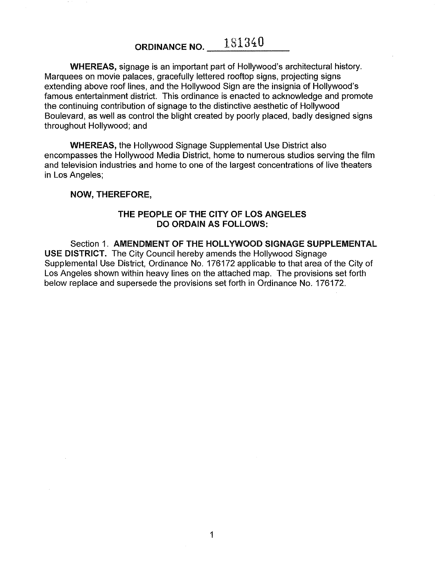**ORDINANCE NO.**  $181340$ 

**WHEREAS,** signage is an important part of Hollywood's architectural history. Marquees on movie palaces, gracefully lettered rooftop signs, projecting signs extending above roof lines, and the Hollywood Sign are the insignia of Hollywood's famous entertainment district. This ordinance is enacted to acknowledge and promote the continuing contribution of signage to the distinctive aesthetic of Hollywood Boulevard, as well as control the blight created by poorly placed, badly designed signs throughout Hollywood; and

**WHEREAS,** the Hollywood Signage Supplemental Use District also encompasses the Hollywood Media District, home to numerous studios serving the film and television industries and home to one of the largest concentrations of live theaters in Los Angeles;

#### **NOW, THEREFORE,**

#### **THE PEOPLE OF THE CITY OF LOS ANGELES DO ORDAIN AS FOLLOWS:**

Section 1. **AMENDMENT OF THE HOLLYWOOD SIGNAGE SUPPLEMENTAL USE DISTRICT.** The City Council hereby amends the Hollywood Signage Supplemental Use District, Ordinance No. 176172 applicable to that area of the City of Los Angeles shown within heavy lines on the attached map. The provisions set forth below replace and supersede the provisions set forth in Ordinance No. 176172.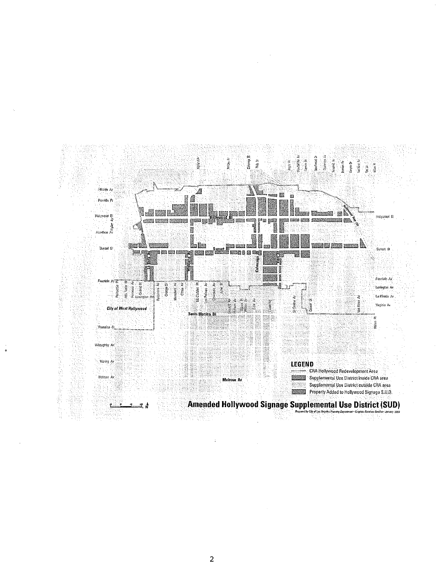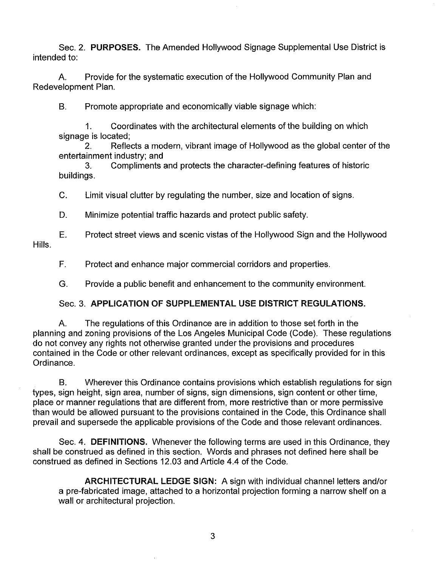Sec. 2. **PURPOSES.** The Amended Hollywood Signage Supplemental Use District is intended to:

A. Provide for the systematic execution of the Hollywood Community Plan and Redevelopment Plan.

B. Promote appropriate and economically viable signage which:

1. Coordinates with the architectural elements of the building on which signage is located;

2. Reflects a modern, vibrant image of Hollywood as the global center of the entertainment industry; and

3. Compliments and protects the character-defining features of historic buildings.

C. Limit visual clutter by regulating the number, size and location of signs.

D. Minimize potential traffic hazards and protect public safety.

Hills. E. Protect street views and scenic vistas of the Hollywood Sign and the Hollywood

F. Protect and enhance major commercial corridors and properties.

G. Provide a public benefit and enhancement to the community environment.

### Sec. 3. **APPLICATION OF SUPPLEMENTAL USE DISTRICT REGULATIONS.**

A. The regulations of this Ordinance are in addition to those set forth in the planning and zoning provisions of the Los Angeles Municipal Code (Code). These regulations do not convey any rights not otherwise granted under the provisions and procedures contained in the Code or other relevant ordinances, except as specifically provided for in this Ordinance.

B. Wherever this Ordinance contains provisions which establish regulations for sign types, sign height, sign area, number of signs, sign dimensions, sign content or other time, place or manner regulations that are different from, more restrictive than or more permissive than would be allowed pursuant to the provisions contained in the Code, this Ordinance shall prevail and supersede the applicable provisions of the Code and those relevant ordinances.

Sec. 4. **DEFINITIONS.** Whenever the following terms are used in this Ordinance, they shall be construed as defined in this section. Words and phrases not defined here shall be construed as defined in Sections 12.03 and Article 4.4 of the Code.

**ARCHITECTURAL LEDGE SIGN:** A sign with individual channel letters and/or a pre-fabricated image, attached to a horizontal projection forming a narrow shelf on a wall or architectural projection.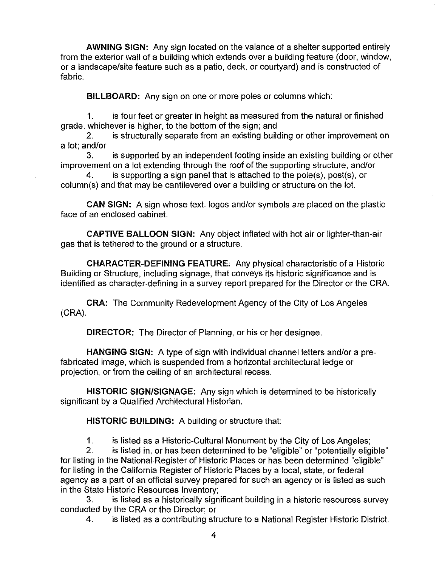**AWNING SIGN:** Any sign located on the valance of a shelter supported entirely from the exterior wall of a building which extends over a building feature (door, window, or a landscape/site feature such as a patio, deck, or courtyard) and is constructed of fabric.

**BILLBOARD:** Any sign on one or more poles or columns which:

1. is four feet or greater in height as measured from the natural or finished grade, whichever is higher, to the bottom of the sign; and

2. is structurally separate from an existing building or other improvement on a lot; and/or

3. is supported by an independent footing inside an existing building or other improvement on a lot extending through the roof of the supporting structure, and/or

4. is supporting a sign panel that is attached to the pole(s), post(s), or column(s) and that may be cantilevered over a building or structure on the lot.

**CAN SIGN:** A sign whose text, logos and/or symbols are placed on the plastic face of an enclosed cabinet.

**CAPTIVE BALLOON SIGN:** Any object inflated with hot air or lighter-than-air gas that is tethered to the ground or a structure.

**CHARACTER-DEFINING FEATURE:** Any physical characteristic of a Historic Building or Structure, including signage, that conveys its historic significance and is identified as character-defining in a survey report prepared for the Director or the CRA.

**CRA:** The Community Redevelopment Agency of the City of Los Angeles (CRA).

**DIRECTOR:** The Director of Planning, or his or her designee.

**HANGING SIGN:** A type of sign with individual channel letters and/or a prefabricated image, which is suspended from a horizontal architectural ledge or projection, or from the ceiling of an architectural recess.

**HISTORIC SIGN/SIGNAGE:** Any sign which is determined to be historically significant by a Qualified Architectural Historian.

**HISTORIC BUILDING:** A building or structure that:

1. is listed as a Historic-Cultural Monument by the City of Los Angeles;

2. is listed in, or has been determined to be "eligible" or "potentially eligible" for listing in the National Register of Historic Places or has been determined "eligible" for listing in the California Register of Historic Places by a local, state, or federal agency as a part of an official survey prepared for such an agency or is listed as such in the State Historic Resources Inventory;

3. is listed as a historically significant building in a historic resources survey conducted by the CRA or the Director; or

4. is listed as a contributing structure to a National Register Historic District.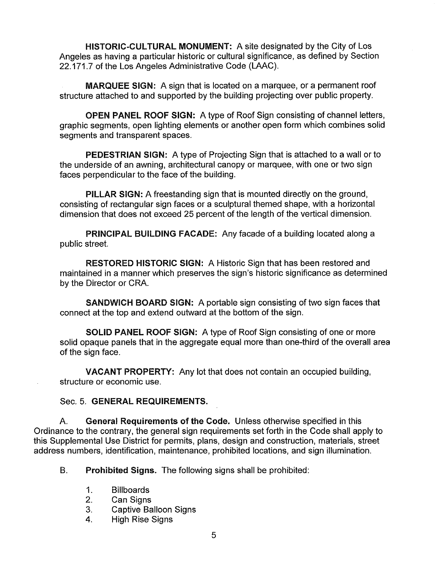**HISTORIC-CULTURAL MONUMENT:** A site designated by the City of Los Angeles as having a particular historic or cultural significance, as defined by Section 22.171.7 of the Los Angeles Administrative Code (LAAC).

**MARQUEE SIGN:** A sign that is located on a marquee, or a permanent roof structure attached to and supported by the building projecting over public property.

**OPEN PANEL ROOF SIGN:** A type of Roof Sign consisting of channel letters, graphic segments, open lighting elements or another open form which combines solid segments and transparent spaces.

**PEDESTRIAN SIGN:** A type of Projecting Sign that is attached to a wall or to the underside of an awning, architectural canopy or marquee, with one or two sign faces perpendicular to the face of the building.

**PILLAR SIGN:** A freestanding sign that is mounted directly on the ground, consisting of rectangular sign faces or a sculptural themed shape, with a horizontal dimension that does not exceed 25 percent of the length of the vertical dimension.

**PRINCIPAL BUILDING FACADE:** Any facade of a building located along a public street.

**RESTORED HISTORIC SIGN:** A Historic Sign that has been restored and maintained in a manner which preserves the sign's historic significance as determined by the Director or CRA.

**SANDWICH BOARD SIGN:** A portable sign consisting of two sign faces that connect at the top and extend outward at the bottom of the sign.

**SOLID PANEL ROOF SIGN:** A type of Roof Sign consisting of one or more solid opaque panels that in the aggregate equal more than one-third of the overall area of the sign face.

**VACANT PROPERTY:** Any lot that does not contain an occupied building, structure or economic use.

### Sec. 5. **GENERAL REQUIREMENTS.**

A. **General Requirements of the Code.** Unless otherwise specified in this Ordinance to the contrary, the general sign requirements set forth in the Code shall apply to this Supplemental Use District for permits, plans, design and construction, materials, street address numbers, identification, maintenance, prohibited locations, and sign illumination.

B. **Prohibited Signs.** The following signs shall be prohibited:

- 1. Billboards
- 2. Can Signs
- 3. Captive Balloon Signs
- **4.** High Rise Signs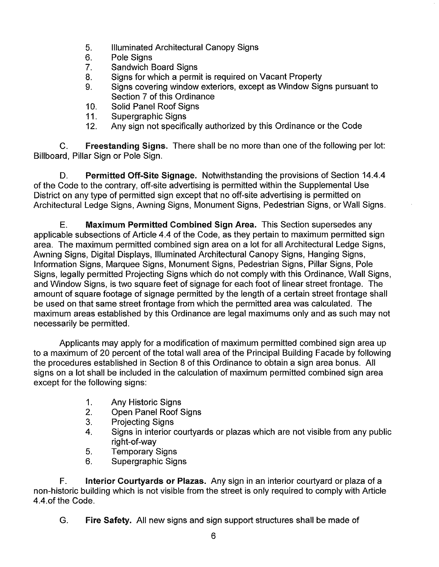- 5. Illuminated Architectural Canopy Signs
- 6. Pole Signs
- 7. Sandwich Board Signs
- 8. Signs for which a permit is required on Vacant Property
- 9. Signs covering window exteriors, except as Window Signs pursuant to Section 7 of this Ordinance
- 10. Solid Panel Roof Signs<br>11. Supergraphic Signs
- Supergraphic Signs
- 12. Any sign not specifically authorized by this Ordinance or the Code

C. **Freestanding Signs.** There shall be no more than one of the following per lot: Billboard, Pillar Sign or Pole Sign.

D. **Permitted Off-Site Signage.** Notwithstanding the provisions of Section 14.4.4 of the Code to the contrary, off-site advertising is permitted within the Supplemental Use District on any type of permitted sign except that no off-site advertising is permitted on Architectural Ledge Signs, Awning Signs, Monument Signs, Pedestrian Signs, or Wall Signs.

E. **Maximum Permitted Combined Sign Area.** This Section supersedes any applicable subsections of Article 4.4 of the Code, as they pertain to maximum permitted sign area. The maximum permitted combined sign area on a lot for all Architectural Ledge Signs, Awning Signs, Digital Displays, Illuminated Architectural Canopy Signs, Hanging Signs, Information Signs, Marquee Signs, Monument Signs, Pedestrian Signs, Pillar Signs, Pole Signs, legally permitted Projecting Signs which do not comply with this Ordinance, Wall Signs, and Window Signs, is two square feet of signage for each foot of linear street frontage. The amount of square footage of signage permitted by the length of a certain street frontage shall be used on that same street frontage from which the permitted area was calculated. The maximum areas established by this Ordinance are legal maximums only and as such may not necessarily be permitted.

Applicants may apply for a modification of maximum permitted combined sign area up to a maximum of 20 percent of the total wall area of the Principal Building Facade by following the procedures established in Section 8 of this Ordinance to obtain a sign area bonus. All signs on a lot shall be included in the calculation of maximum permitted combined sign area except for the following signs:

- 1. Any Historic Signs
- 2. Open Panel Roof Signs
- 3. Projecting Signs
- **4.** Signs in interior courtyards or plazas which are not visible from any public right-of-way
- 5. Temporary Signs
- 6. Supergraphic Signs

F. **Interior Courtyards or Plazas.** Any sign in an interior courtyard or plaza of a non-historic building which is not visible from the street is only required to comply with Article 4.4.of the Code.

G. **Fire Safety.** All new signs and sign support structures shall be made of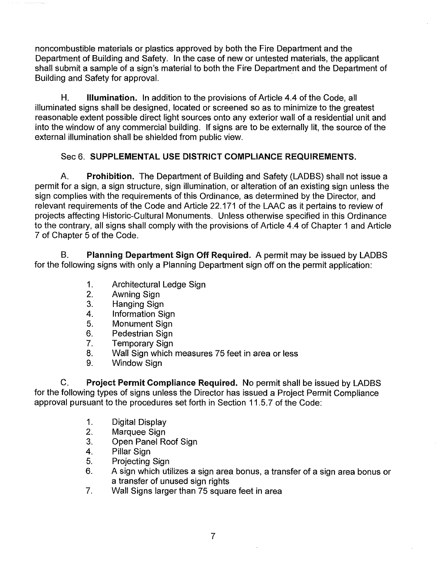noncombustible materials or plastics approved by both the Fire Department and the Department of Building and Safety. In the case of new or untested materials, the applicant shall submit a sample of a sign's material to both the Fire Department and the Department of Building and Safety for approval.

H. **Illumination.** In addition to the provisions of Article 4.4 of the Code, all illuminated signs shall be designed, located or screened so as to minimize to the greatest reasonable extent possible direct light sources onto any exterior wall of a residential unit and into the window of any commercial building. If signs are to be externally lit, the source of the external illumination shall be shielded from public view.

## Sec 6. **SUPPLEMENTAL USE DISTRICT COMPLIANCE REQUIREMENTS.**

A. **Prohibition.** The Department of Building and Safety (LADBS) shall not issue a permit for a sign, a sign structure, sign illumination, or alteration of an existing sign unless the sign complies with the requirements of this Ordinance, as determined by the Director, and relevant requirements of the Code and Article 22.171 of the LAAC as it pertains to review of projects affecting Historic-Cultural Monuments. Unless otherwise specified in this Ordinance to the contrary, all signs shall comply with the provisions of Article 4.4 of Chapter 1 and Article 7 of Chapter 5 of the Code.

B. **Planning Department Sign Off Required.** A permit may be issued by LADBS for the following signs with only a Planning Department sign off on the permit application:

- 1. Architectural Ledge Sign<br>2. Awning Sign
- 2. Awning Sign<br>3. Hanging Sign
- Hanging Sign
- 4. Information Sign
- 5. Monument Sign
- 6. Pedestrian Sign
- 7. Temporary Sign
- 8. Wall Sign which measures 75 feet in area or less<br>9. Window Sign
- Window Sign

C. **Project Permit Compliance Required. No** permit shall be issued by LADBS for the following types of signs unless the Director has issued a Project Permit Compliance approval pursuant to the procedures set forth in Section 11.5.7 of the Code:

- 1. Digital Display
- 2. Marquee Sign
- 3. Open Panel Roof Sign
- 4. Pillar Sign
- 5. Projecting Sign
- 6. A sign which utilizes a sign area bonus, a transfer of a sign area bonus or a transfer of unused sign rights
- 7. Wall Signs larger than 75 square feet in area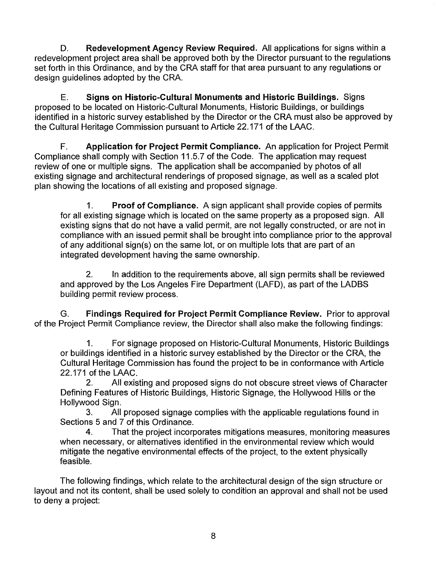D. **Redevelopment Agency Review Required.** All applications for signs within a redevelopment project area shall be approved both by the Director pursuant to the regulations set forth in this Ordinance, and by the CRA staff for that area pursuant to any regulations or design guidelines adopted by the CRA.

E. **Signs on Historic-Cultural Monuments and Historic Buildings.** Signs proposed to be located on Historic-Cultural Monuments, Historic Buildings, or buildings identified in a historic survey established by the Director or the CRA must also be approved by the Cultural Heritage Commission pursuant to Article 22.171 of the LAAC.

F. **Application for Project Permit Compliance.** An application for Project Permit Compliance shall comply with Section 11.5.7 of the Code. The application may request review of one or multiple signs. The application shall be accompanied by photos of all existing signage and architectural renderings of proposed signage, as well as a scaled plot plan showing the locations of all existing and proposed signage.

1. **Proof of Compliance.** A sign applicant shall provide copies of permits for all existing signage which is located on the same property as a proposed sign. All existing signs that do not have a valid permit, are not legally constructed, or are not in compliance with an issued permit shall be brought into compliance prior to the approval of any additional sign(s) on the same lot, or on multiple lots that are part of an integrated development having the same ownership.

2. In addition to the requirements above, all sign permits shall be reviewed and approved by the Los Angeles Fire Department (LAFD), as part of the LADBS building permit review process.

G. **Findings Required for Project Permit Compliance Review.** Prior to approval of the Project Permit Compliance review, the Director shall also make the following findings:

1. For signage proposed on Historic-Cultural Monuments, Historic Buildings or buildings identified in a historic survey established by the Director or the CRA, the Cultural Heritage Commission has found the project to be in conformance with Article 22.171 of the LAAC.

2. All existing and proposed signs do not obscure street views of Character Defining Features of Historic Buildings, Historic Signage, the Hollywood Hills or the Hollywood Sign.

3. All proposed signage complies with the applicable regulations found in Sections 5 and 7 of this Ordinance.

4. That the project incorporates mitigations measures, monitoring measures when necessary, or alternatives identified in the environmental review which would mitigate the negative environmental effects of the project, to the extent physically feasible.

The following findings, which relate to the architectural design of the sign structure or layout and not its content, shall be used solely to condition an approval and shall not be used to deny a project: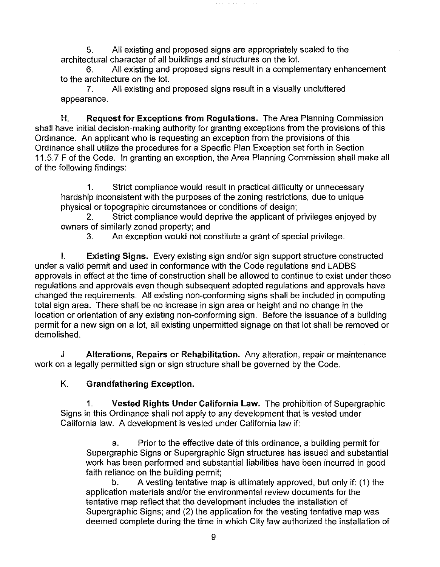5. All existing and proposed signs are appropriately scaled to the architectural character of all buildings and structures on the lot.

All existing and proposed signs result in a complementary enhancement to the architecture on the lot.

7. All existing and proposed signs result in a visually uncluttered appearance.

H. **Request for Exceptions from Regulations.** The Area Planning Commission shall have initial decision-making authority for granting exceptions from the provisions of this Ordinance. An applicant who is requesting an exception from the provisions of this Ordinance shall utilize the procedures for a Specific Plan Exception set forth in Section 11.5.7 F of the Code. In granting an exception, the Area Planning Commission shall make all of the following findings:

1. Strict compliance would result in practical difficulty or unnecessary hardship inconsistent with the purposes of the zoning restrictions, due to unique physical or topographic circumstances or conditions of design;

2. Strict compliance would deprive the applicant of privileges enjoyed by owners of similarly zoned property; and

3. An exception would not constitute a grant of special privilege.

I. **Existing Signs.** Every existing sign and/or sign support structure constructed under a valid permit and used in conformance with the Code regulations and LADBS approvals in effect at the time of construction shall be allowed to continue to exist under those regulations and approvals even though subsequent adopted regulations and approvals have changed the requirements. All existing non-conforming signs shall be included in computing total sign area. There shall be no increase in sign area or height and no change in the location or orientation of any existing non-conforming sign. Before the issuance of a building permit for a new sign on a lot, all existing unpermitted signage on that lot shall be removed or demolished.

J. **Alterations, Repairs or Rehabilitation.** Any alteration, repair or maintenance work on a legally permitted sign or sign structure shall be governed by the Code.

## K. **Grandfathering Exception.**

1. **Vested Rights Under California law.** The prohibition of Supergraphic Signs in this Ordinance shall not apply to any development that is vested under California law. A development is vested under California law if:

a. Prior to the effective date of this ordinance, a building permit for Supergraphic Signs or Supergraphic Sign structures has issued and substantial work has been performed and substantial liabilities have been incurred in good faith reliance on the building permit;

b. A vesting tentative map is ultimately approved, but only if: (1) the application materials and/or the environmental review documents for the tentative map reflect that the development includes the installation of Supergraphic Signs; and (2) the application for the vesting tentative map was deemed complete during the time in which City law authorized the installation of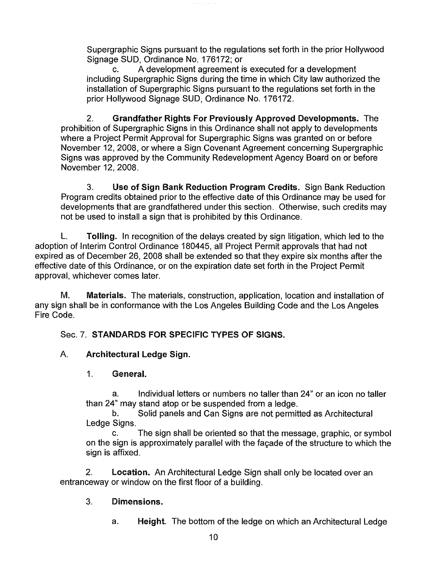Supergraphic Signs pursuant to the regulations set forth in the prior Hollywood Signage SUD, Ordinance No. 176172; or

c. A development agreement is executed for a development including Supergraphic Signs during the time in which City law authorized the installation of Supergraphic Signs pursuant to the regulations set forth in the prior Hollywood Signage SUD, Ordinance No. 176172.

2. **Grandfather Rights For Previously Approved Developments.** The prohibition of Supergraphic Signs in this Ordinance shall not apply to developments where a Project Permit Approval for Supergraphic Signs was granted on or before November 12, 2008, or where a Sign Covenant Agreement concerning Supergraphic Signs was approved by the Community Redevelopment Agency Board on or before November 12, 2008.

3. **Use of Sign Bank Reduction Program Credits.** Sign Bank Reduction Program credits obtained prior to the effective date of this Ordinance may be used for developments that are grandfathered under this section. Otherwise, such credits may not be used to install a sign that is prohibited by this Ordinance.

L. **Tolling.** In recognition of the delays created by sign litigation, which led to the adoption of Interim Control Ordinance 180445, all Project Permit approvals that had not expired as of December 26, 2008 shall be extended so that they expire six months after the effective date of this Ordinance, or on the expiration date set forth in the Project Permit approval, whichever comes later.

M. **Materials.** The materials, construction, application, location and installation of any sign shall be in conformance with the Los Angeles Building Code and the Los Angeles Fire Code.

Sec. 7. **STANDARDS FOR SPECIFIC TYPES OF SIGNS.** 

## A. **Architectural Ledge Sign.**

### 1. **General.**

a. Individual letters or numbers no taller than 24" or an icon no taller than 24" may stand atop or be suspended from a ledge.

b. Solid panels and Can Signs are not permitted as Architectural Ledge Signs.

c. The sign shall be oriented so that the message, graphic, or symbol on the sign is approximately parallel with the facade of the structure to which the sign is affixed.

2. **Location.** An Architectural Ledge Sign shall only be located over an entranceway or window on the first floor of a building.

## 3. **Dimensions.**

a. **Height.** The bottom of the ledge on which an Architectural Ledge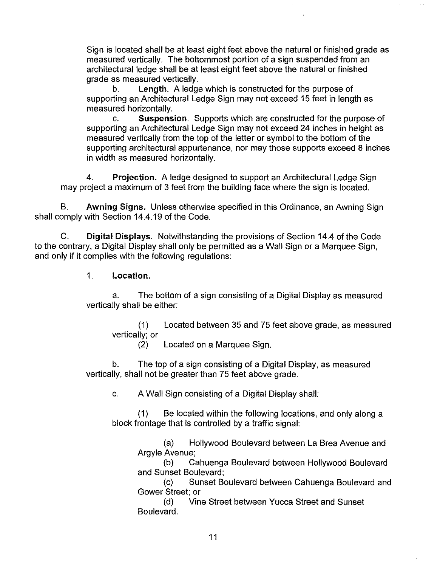Sign is located shall be at least eight feet above the natural or finished grade as measured vertically. The bottommost portion of a sign suspended from an architectural ledge shall be at least eight feet above the natural or finished grade as measured vertically.<br>b. **Length**, A ledge

Length. A ledge which is constructed for the purpose of supporting an Architectural Ledge Sign may not exceed 15 feet in length as measured horizontally.

c. **Suspension.** Supports which are constructed for the purpose of supporting an Architectural Ledge Sign may not exceed 24 inches in height as measured vertically from the top of the letter or symbol to the bottom of the supporting architectural appurtenance, nor may those supports exceed 8 inches in width as measured horizontally.

**4. Projection.** A ledge designed to support an Architectural Ledge Sign may project a maximum of 3 feet from the building face where the sign is located.

B. **Awning Signs.** Unless otherwise specified in this Ordinance, an Awning Sign shall comply with Section 14.4.19 of the Code.

C. **Digital Displays.** Notwithstanding the provisions of Section 14.4 of the Code to the contrary, a Digital Display shall only be permitted as a Wall Sign or a Marquee Sign. and only if it complies with the following regulations:

1. **Location.** 

a. The bottom of a sign consisting of a Digital Display as measured vertically shall be either:

(1) Located between 35 and 75 feet above grade, as measured vertically; or

(2) Located on a Marquee Sign.

b. The top of a sign consisting of a Digital Display, as measured vertically, shall not be greater than 75 feet above grade.

c. A Wall Sign consisting of a Digital Display shall:

(1) Be located within the following locations, and only along a block frontage that is controlled by a traffic signal:

(a) Hollywood Boulevard between La Brea Avenue and Argyle Avenue;

(b) Cahuenga Boulevard between Hollywood Boulevard and Sunset Boulevard;

(c) Sunset Boulevard between Cahuenga Boulevard and Gower Street; or

(d) Vine Street between Yucca Street and Sunset Boulevard.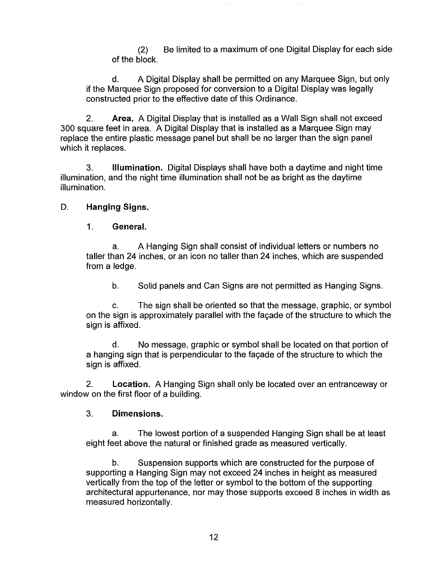(2) Be limited to a maximum of one Digital Display for each side of the block.

d. A Digital Display shall be permitted on any Marquee Sign, but only if the Marquee Sign proposed for conversion to a Digital Display was legally constructed prior to the effective date of this Ordinance.

2. **Area.** A Digital Display that is installed as a Wall Sign shall not exceed 300 square feet in area. A Digital Display that is installed as a Marquee Sign may replace the entire plastic message panel but shall be no larger than the sign panel which it replaces.

3. **Illumination.** Digital Displays shall have both a daytime and night time illumination, and the night time illumination shall not be as bright as the daytime illumination.

## D. **Hanging Signs.**

1. **General.** 

a. A Hanging Sign shall consist of individual letters or numbers no taller than 24 inches, or an icon no taller than 24 inches, which are suspended from a ledge.

b. Solid panels and Can Signs are not permitted as Hanging Signs.

c. The sign shall be oriented so that the message, graphic, or symbol on the sign is approximately parallel with the facade of the structure to which the sign is affixed.

d. No message, graphic or symbol shall be located on that portion of a hanging sign that is perpendicular to the façade of the structure to which the sign is affixed.

2. **Location.** A Hanging Sign shall only be located over an entranceway or window on the first floor of a building.

### 3. **Dimensions.**

a. The lowest portion of a suspended Hanging Sign shall be at least eight feet above the natural or finished grade as measured vertically.

b. Suspension supports which are constructed for the purpose of supporting a Hanging Sign may not exceed 24 inches in height as measured vertically from the top of the letter or symbol to the bottom of the supporting architectural appurtenance, nor may those supports exceed 8 inches in width as measured horizontally.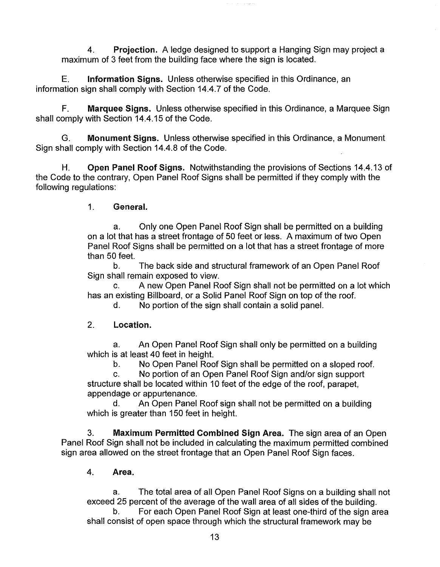4. **Projection.** A ledge designed to support a Hanging Sign may project a maximum of 3 feet from the building face where the sign is located.

E. **Information Signs.** Unless otherwise specified in this Ordinance, an information sign shall comply with Section 14.4.7 of the Code.

F. **Marquee Signs.** Unless otherwise specified in this Ordinance, a Marquee Sign shall comply with Section 14.4.15 of the Code.

G. **Monument Signs.** Unless otherwise specified in this Ordinance, a Monument Sign shall comply with Section 14.4.8 of the Code.

H. **Open Panel Roof Signs.** Notwithstanding the provisions of Sections 14.4.13 of the Code to the contrary, Open Panel Roof Signs shall be permitted if they comply with the following regulations:

1. **General.** 

a. Only one Open Panel Roof Sign shall be permitted on a building on a lot that has a street frontage of 50 feet or less. A maximum of two Open Panel Roof Signs shall be permitted on a lot that has a street frontage of more than 50 feet.

b. The back side and structural framework of an Open Panel Roof Sign shall remain exposed to view.

c. A new Open Panel Roof Sign shall not be permitted on a lot which has an existing Billboard, or a Solid Panel Roof Sign on top of the roof.

d. No portion of the sign shall contain a solid panel.

### 2. **Location.**

a. An Open Panel Roof Sign shall only be permitted on a building which is at least 40 feet in height.

b. No Open Panel Roof Sign shall be permitted on a sloped roof.

c. No portion of an Open Panel Roof Sign and/or sign support structure shall be located within 10 feet of the edge of the roof, parapet, appendage or appurtenance.

d. An Open Panel Roof sign shall not be permitted on a building which is greater than 150 feet in height.

3. **Maximum Permitted Combined Sign Area.** The sign area of an Open Panel Roof Sign shall not be included in calculating the maximum permitted combined sign area allowed on the street frontage that an Open Panel Roof Sign faces.

4. **Area.** 

a. The total area of all Open Panel Roof Signs on a building shall not exceed 25 percent of the average of the wall area of all sides of the building.

b. For each Open Panel Roof Sign at least one-third of the sign area shall consist of open space through which the structural framework may be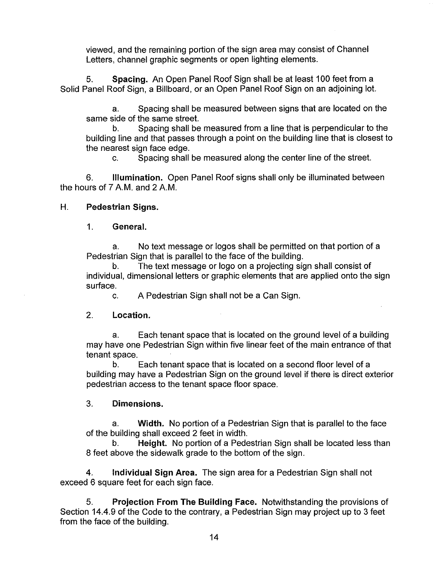viewed, and the remaining portion of the sign area may consist of Channel Letters, channel graphic segments or open lighting elements.

5. **Spacing.** An Open Panel Roof Sign shall be at least 100 feet from a Solid Panel Roof Sign, a Billboard, or an Open Panel Roof Sign on an adjoining lot.

a. Spacing shall be measured between signs that are located on the same side of the same street.

b. Spacing shall be measured from a line that is perpendicular to the building line and that passes through a point on the building line that is closest to the nearest sign face edge.

c. Spacing shall be measured along the center line of the street.

6. **Illumination.** Open Panel Roof signs shall only be illuminated between the hours of 7 A.M. and 2 A.M.

#### **H. Pedestrian Signs.**

#### 1. **General.**

a. No text message or logos shall be permitted on that portion of a Pedestrian Sign that is parallel to the face of the building.

b. The text message or logo on a projecting sign shall consist of individual, dimensional letters or graphic elements that are applied onto the sign surface.

c. A Pedestrian Sign shall not be a Can Sign.

#### 2. **Location.**

a. Each tenant space that is located on the ground level of a building may have one Pedestrian Sign within five linear feet of the main entrance of that tenant space.

b. Each tenant space that is located on a second floor level of a building may have a Pedestrian Sign on the ground level if there is direct exterior pedestrian access to the tenant space floor space.

### 3. **Dimensions.**

a. **Width.** No portion of a Pedestrian Sign that is parallel to the face of the building shall exceed 2 feet in width.

b. **Height.** No portion of a Pedestrian Sign shall be located less than 8 feet above the sidewalk grade to the bottom of the sign.

**4. Individual Sign Area.** The sign area for a Pedestrian Sign shall not exceed 6 square feet for each sign face.

5. **Projection From The Building Face.** Notwithstanding the provisions of Section 14.4.9 of the Code to the contrary, a Pedestrian Sign may project up to 3 feet from the face of the building.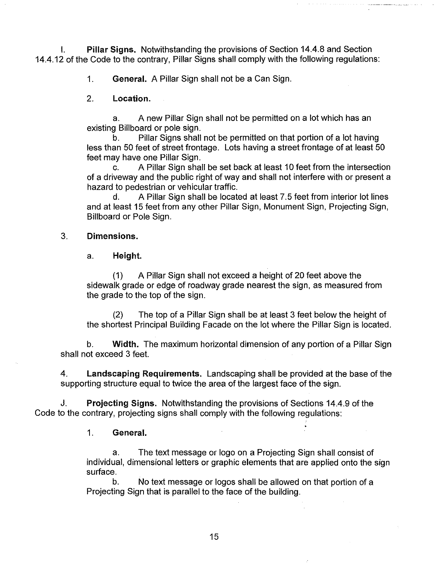I. **Pillar Signs.** Notwithstanding the provisions of Section 14.4.8 and Section 14.4.12 of the Code to the contrary, Pillar Signs shall comply with the following regulations:

1. **General.** A Pillar Sign shall not be a Can Sign.

2. **Location.** 

a. A new Pillar Sign shall not be permitted on a lot which has an existing Billboard or pole sign.

b. Pillar Signs shall not be permitted on that portion of a lot having less than 50 feet of street frontage. Lots having a street frontage of at least 50 feet may have one Pillar Sign.

c. A Pillar Sign shall be set back at least 10 feet from the intersection of a driveway and the public right of way and shall not interfere with or present a hazard to pedestrian or vehicular traffic.

d. A Pillar Sign shall be located at least 7.5 feet from interior lot lines and at least 15 feet from any other Pillar Sign, Monument Sign, Projecting Sign, Billboard or Pole Sign.

#### 3. **Dimensions.**

#### a. **Height.**

(1) A Pillar Sign shall not exceed a height of 20 feet above the sidewalk grade or edge of roadway grade nearest the sign, as measured from the grade to the top of the sign.

(2) The top of a Pillar Sign shall be at least 3 feet below the height of the shortest Principal Building Facade on the lot where the Pillar Sign is located.

b. **Width.** The maximum horizontal dimension of any portion of a Pillar Sign shall not exceed 3 feet.

4. **Landscaping Requirements.** Landscaping shall be provided at the base of the supporting structure equal to twice the area of the largest face of the sign.

J. **Projecting Signs.** Notwithstanding the provisions of Sections 14.4.9 of the Code to the contrary, projecting signs shall comply with the following regulations:

#### 1. **General.**

a. The text message or logo on a Projecting Sign shall consist of individual, dimensional letters or graphic elements that are applied onto the sign surface.

b. No text message or logos shall be allowed on that portion of a Projecting Sign that is parallel to the face of the building.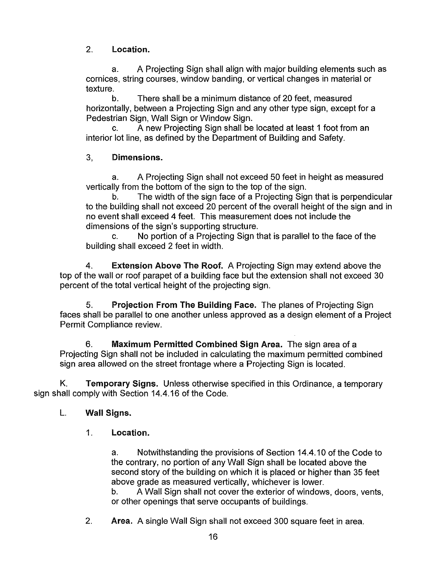2. **Location.** 

a. A Projecting Sign shall align with major building elements such as cornices, string courses, window banding, or vertical changes in material or texture.

b. There shall be a minimum distance of 20 feet, measured horizontally, between a Projecting Sign and any other type sign, except for a Pedestrian Sign, Wall Sign or Window Sign.

c. A new Projecting Sign shall be located at least 1 foot from an interior lot line, as defined by the Department of Building and Safety.

# 3, **Dimensions.**

a. A Projecting Sign shall not exceed 50 feet in height as measured vertically from the bottom of the sign to the top of the sign.

b. The width of the sign face of a Projecting Sign that is perpendicular to the building shall not exceed 20 percent of the overall height of the sign and in no event shall exceed 4 feet. This measurement does not include the dimensions of the sign's supporting structure.

c. No portion of a Projecting Sign that is parallel to the face of the building shall exceed 2 feet in width.

4. **Extension Above The Roof.** A Projecting Sign may extend above the top of the wall or roof parapet of a building face but the extension shall not exceed 30 percent of the total vertical height of the projecting sign.

5. **Projection From The Building Face.** The planes of Projecting Sign faces shall be parallel to one another unless approved as a design element of a Project Permit Compliance review.

6. **Maximum Permitted Combined Sign Area.** The sign area of a Projecting Sign shall not be included in calculating the maximum permitted combined sign area allowed on the street frontage where a Projecting Sign is located.

K. **Temporary Signs.** Unless otherwise specified in this Ordinance, a temporary sign shall comply with Section 14.4.16 of the Code.

# L. **Wall Signs.**

1. **Location.** 

a. Notwithstanding the provisions of Section 14.4.10 of the Code to the contrary, no portion of any Wall Sign shall be located above the second story of the building on which it is placed or higher than 35 feet above grade as measured vertically, whichever is lower.

b. A Wall Sign shall not cover the exterior of windows, doors, vents, or other openings that serve occupants of buildings.

2. **Area.** A single Wall Sign shall not exceed 300 square feet in area.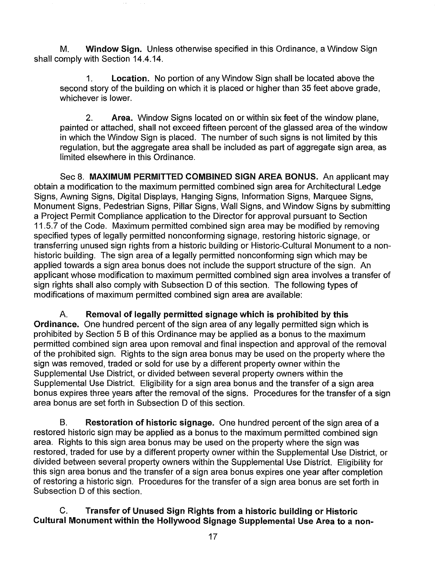M. **Window Sign.** Unless otherwise specified in this Ordinance, a Window Sign shall comply with Section 14.4.14.

1. **Location.** No portion of any Window Sign shall be located above the second story of the building on which it is placed or higher than 35 feet above grade, whichever is lower.

2. **Area.** Window Signs located on or within six feet of the window plane, painted or attached, shall not exceed fifteen percent of the glassed area of the window in which the Window Sign is placed. The number of such signs is not limited by this regulation, but the aggregate area shall be included as part of aggregate sign area, as limited elsewhere in this Ordinance.

Sec 8. **MAXIMUM PERMITTED COMBINED SIGN AREA BONUS.** An applicant may obtain a modification to the maximum permitted combined sign area for Architectural Ledge Signs, Awning Signs, Digital Displays, Hanging Signs, Information Signs, Marquee Signs, Monument Signs, Pedestrian Signs, Pillar Signs, Wall Signs, and Window Signs by submitting a Project Permit Compliance application to the Director for approval pursuant to Section 11.5.7 of the Code. Maximum permitted combined sign area may be modified by removing specified types of legally permitted nonconforming signage, restoring historic signage, or transferring unused sign rights from a historic building or Historic-Cultural Monument to a nonhistoric building. The sign area of a legally permitted nonconforming sign which may be applied towards a sign area bonus does not include the support structure of the sign. An applicant whose modification to maximum permitted combined sign area involves a transfer of sign rights shall also comply with Subsection D of this section. The following types of modifications of maximum permitted combined sign area are available:

A. **Removal of legally permitted signage which is prohibited by this Ordinance.** One hundred percent of the sign area of any legally permitted sign which is prohibited by Section 5 B of this Ordinance may be applied as a bonus to the maximum permitted combined sign area upon removal and final inspection and approval of the removal of the prohibited sign. Rights to the sign area bonus may be used on the property where the sign was removed, traded or sold for use by a different property owner within the Supplemental Use District, or divided between several property owners within the Supplemental Use District. Eligibility for a sign area bonus and the transfer of a sign area bonus expires three years after the removal of the signs. Procedures for the transfer of a sign area bonus are set forth in Subsection D of this section.

B. **Restoration of historic signage.** One hundred percent of the sign area of a restored historic sign may be applied as a bonus to the maximum permitted combined sign area. Rights to this sign area bonus may be used on the property where the sign was restored, traded for use by a different property owner within the Supplemental Use District, or divided between several property owners within the Supplemental Use District. Eligibility for this sign area bonus and the transfer of a sign area bonus expires one year after completion of restoring a historic sign. Procedures for the transfer of a sign area bonus are set forth in Subsection D of this section.

C. **Transfer of Unused Sign Rights from a historic building or Historic Cultural Monument within the Hollywood Signage Supplemental Use Area to a non-**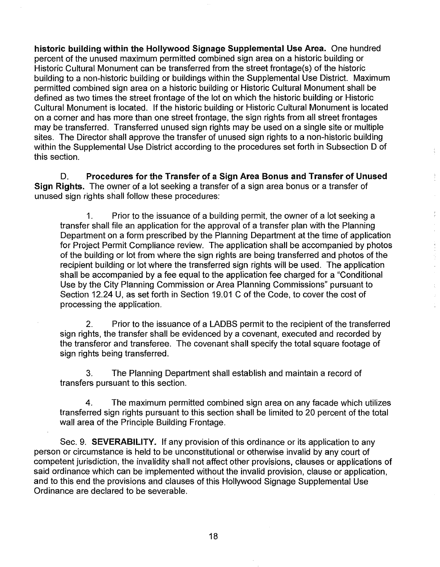historic building within the Hollywood Signage Supplemental Use Area. One hundred percent of the unused maximum permitted combined sign area on a historic building or Historic Cultural Monument can be transferred from the street frontage(s) of the historic building to a non-historic building or buildings within the Supplemental Use District. Maximum permitted combined sign area on a historic building or Historic Cultural Monument shall be defined as two times the street frontage of the lot on which the historic building or Historic Cultural Monument is located. If the historic building or Historic Cultural Monument is located on a corner and has more than one street frontage, the sign rights from all street frontages may be transferred. Transferred unused sign rights may be used on a single site or multiple sites. The Director shall approve the transfer of unused sign rights to a non-historic building within the Supplemental Use District according to the procedures set forth in Subsection D of this section.

D. **Procedures for the Transfer of a Sign Area Bonus and Transfer of Unused Sign Rights.** The owner of a lot seeking a transfer of a sign area bonus or a transfer of unused sign rights shall follow these procedures:

1. Prior to the issuance of a building permit, the owner of a lot seeking a transfer shall file an application for the approval of a transfer plan with the Planning Department on a form prescribed by the Planning Department at the time of application for Project Permit Compliance review. The application shall be accompanied by photos of the building or lot from where the sign rights are being transferred and photos of the recipient building or lot where the transferred sign rights will be used. The application shall be accompanied by a fee equal to the application fee charged for a "Conditional Use by the City Planning Commission or Area Planning Commissions" pursuant to Section 12.24 U, as set forth in Section 19.01 C of the Code, to cover the cost of processing the application.

ţ.

 $\hat{\epsilon}$ 

Ŷ,

2. Prior to the issuance of a LADBS permit to the recipient of the transferred sign rights, the transfer shall be evidenced by a covenant, executed and recorded by the transferor and transferee. The covenant shall specify the total square footage of sign rights being transferred.

3. The Planning Department shall establish and maintain a record of transfers pursuant to this section.

4. The maximum permitted combined sign area on any facade which utilizes transferred sign rights pursuant to this section shall be limited to 20 percent of the total wall area of the Principle Building Frontage.

Sec. 9. **SEVERABILITY.** If any provision of this ordinance or its application to any person or circumstance is held to be unconstitutional or otherwise invalid by any court of competent jurisdiction, the invalidity shall not affect other provisions, clauses or applications of said ordinance which can be implemented without the invalid provision, clause or application, and to this end the provisions and clauses of this Hollywood Signage Supplemental Use Ordinance are declared to be severable.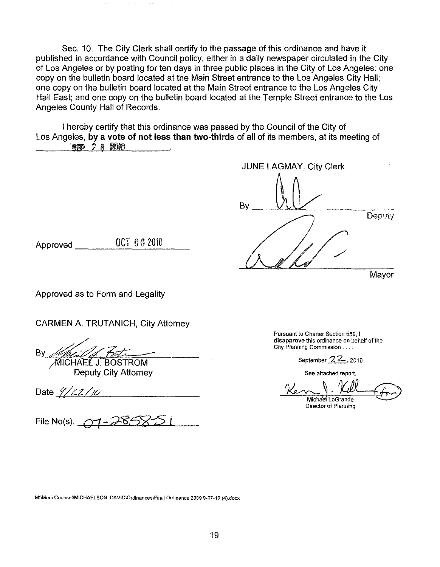Sec. 10. The City Clerk shall certify to the passage of this ordinance and have it published in accordance with Council policy, either in a daily newspaper circulated in the City of Los Angeles or by posting for ten days in three public places in the City of Los Angeles: one copy on the bulletin board located at the Main Street entrance to the Los Angeles City Hall; one copy on the bulletin board located at the Main Street entrance to the Los Angeles City Hall East; and one copy on the bulletin board located at the Temple Street entrance to the Los Angeles County Hall of Records.

I hereby certify that this ordinance was passed by the Council of the City of Los Angeles, **by a vote of not less than two-thirds** of all of its members, at its meeting of ·m 2 a mm

JUNE LAGMAY, City Clerk  $\n By  $\frac{U_1 U_2}{U_1 U_2}$   $\frac{Depuiy}{Depuiy}$$ Mayor

Approved 0CT 06 2010

Approved as to Form and Legality

CARMEN A. TRUTANICH, City Attorney

By *Multiple J. Bostrom* 

Deputy City Attorney

Date  $\frac{9}{22}/10$ 

File No(s). 01-285

**Pursuant to Charter Section 559, I disapprove this ordinance on behalf of the City Planning Commission** .

September 22, 2010

**See attached report.** 

Michael LoGrande

**Director of Planning** 

**M:\Muni Counsel\MICHAELSON, DAVID\Ordinances\Final Ordinance 2009 9-07-10 {4).docx**